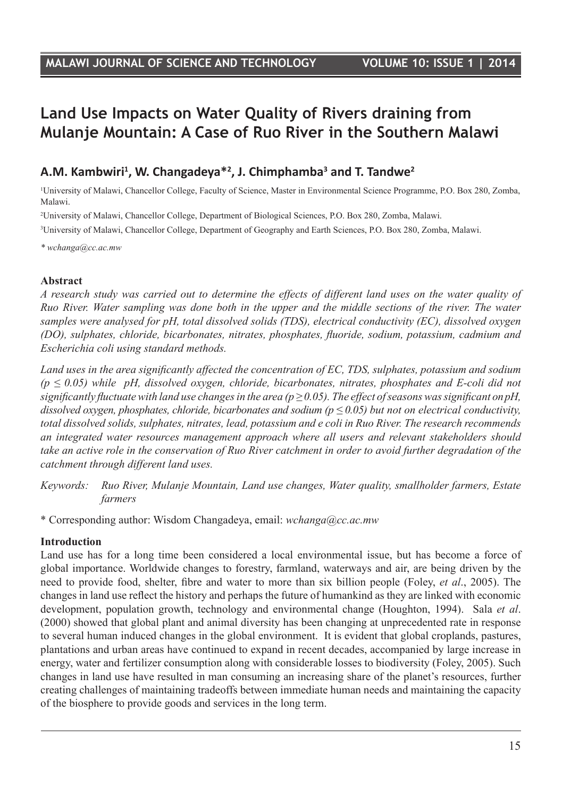# **Land Use Impacts on Water Quality of Rivers draining from Mulanje Mountain: A Case of Ruo River in the Southern Malawi**

## **A.M. Kambwiri1 , W. Changadeya\*2 , J. Chimphamba3 and T. Tandwe2**

1 University of Malawi, Chancellor College, Faculty of Science, Master in Environmental Science Programme, P.O. Box 280, Zomba, Malawi.

2 University of Malawi, Chancellor College, Department of Biological Sciences, P.O. Box 280, Zomba, Malawi.

3 University of Malawi, Chancellor College, Department of Geography and Earth Sciences, P.O. Box 280, Zomba, Malawi.

*\* wchanga@cc.ac.mw*

#### **Abstract**

*A research study was carried out to determine the effects of different land uses on the water quality of Ruo River. Water sampling was done both in the upper and the middle sections of the river. The water samples were analysed for pH, total dissolved solids (TDS), electrical conductivity (EC), dissolved oxygen (DO), sulphates, chloride, bicarbonates, nitrates, phosphates, fluoride, sodium, potassium, cadmium and Escherichia coli using standard methods.*

*Land uses in the area significantly affected the concentration of EC, TDS, sulphates, potassium and sodium (p ≤ 0.05) while pH, dissolved oxygen, chloride, bicarbonates, nitrates, phosphates and E-coli did not significantly fluctuate with land use changes in the area (* $p \ge 0.05$ *). The effect of seasons was significant on pH, dissolved oxygen, phosphates, chloride, bicarbonates and sodium (p ≤ 0.05) but not on electrical conductivity, total dissolved solids, sulphates, nitrates, lead, potassium and e coli in Ruo River. The research recommends an integrated water resources management approach where all users and relevant stakeholders should take an active role in the conservation of Ruo River catchment in order to avoid further degradation of the catchment through different land uses.* 

*Keywords: Ruo River, Mulanje Mountain, Land use changes, Water quality, smallholder farmers, Estate farmers*

\* Corresponding author: Wisdom Changadeya, email: *wchanga@cc.ac.mw*

#### **Introduction**

Land use has for a long time been considered a local environmental issue, but has become a force of global importance. Worldwide changes to forestry, farmland, waterways and air, are being driven by the need to provide food, shelter, fibre and water to more than six billion people (Foley, *et al*., 2005). The changes in land use reflect the history and perhaps the future of humankind as they are linked with economic development, population growth, technology and environmental change (Houghton, 1994). Sala *et al*. (2000) showed that global plant and animal diversity has been changing at unprecedented rate in response to several human induced changes in the global environment. It is evident that global croplands, pastures, plantations and urban areas have continued to expand in recent decades, accompanied by large increase in energy, water and fertilizer consumption along with considerable losses to biodiversity (Foley, 2005). Such changes in land use have resulted in man consuming an increasing share of the planet's resources, further creating challenges of maintaining tradeoffs between immediate human needs and maintaining the capacity of the biosphere to provide goods and services in the long term.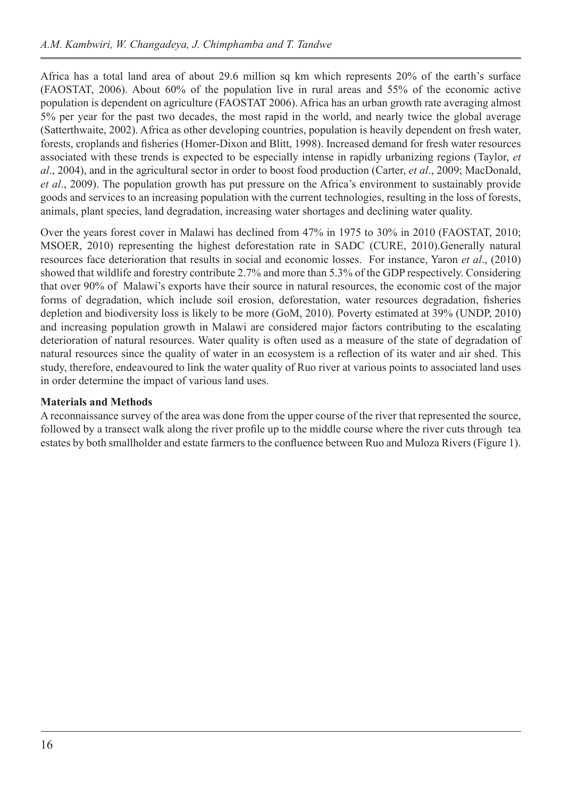Africa has a total land area of about 29.6 million sq km which represents 20% of the earth's surface (FAOSTAT, 2006). About 60% of the population live in rural areas and 55% of the economic active population is dependent on agriculture (FAOSTAT 2006). Africa has an urban growth rate averaging almost 5% per year for the past two decades, the most rapid in the world, and nearly twice the global average (Satterthwaite, 2002). Africa as other developing countries, population is heavily dependent on fresh water, forests, croplands and fisheries (Homer-Dixon and Blitt, 1998). Increased demand for fresh water resources associated with these trends is expected to be especially intense in rapidly urbanizing regions (Taylor, *et al*., 2004), and in the agricultural sector in order to boost food production (Carter, *et al*., 2009; MacDonald, *et al*., 2009). The population growth has put pressure on the Africa's environment to sustainably provide goods and services to an increasing population with the current technologies, resulting in the loss of forests, animals, plant species, land degradation, increasing water shortages and declining water quality.

Over the years forest cover in Malawi has declined from 47% in 1975 to 30% in 2010 (FAOSTAT, 2010; MSOER, 2010) representing the highest deforestation rate in SADC (CURE, 2010).Generally natural resources face deterioration that results in social and economic losses. For instance, Yaron *et al*., (2010) showed that wildlife and forestry contribute 2.7% and more than 5.3% of the GDP respectively. Considering that over 90% of Malawi's exports have their source in natural resources, the economic cost of the major forms of degradation, which include soil erosion, deforestation, water resources degradation, fisheries depletion and biodiversity loss is likely to be more (GoM, 2010). Poverty estimated at 39% (UNDP, 2010) and increasing population growth in Malawi are considered major factors contributing to the escalating deterioration of natural resources. Water quality is often used as a measure of the state of degradation of natural resources since the quality of water in an ecosystem is a reflection of its water and air shed. This study, therefore, endeavoured to link the water quality of Ruo river at various points to associated land uses in order determine the impact of various land uses.

#### **Materials and Methods**

A reconnaissance survey of the area was done from the upper course of the river that represented the source, followed by a transect walk along the river profile up to the middle course where the river cuts through tea estates by both smallholder and estate farmers to the confluence between Ruo and Muloza Rivers (Figure 1).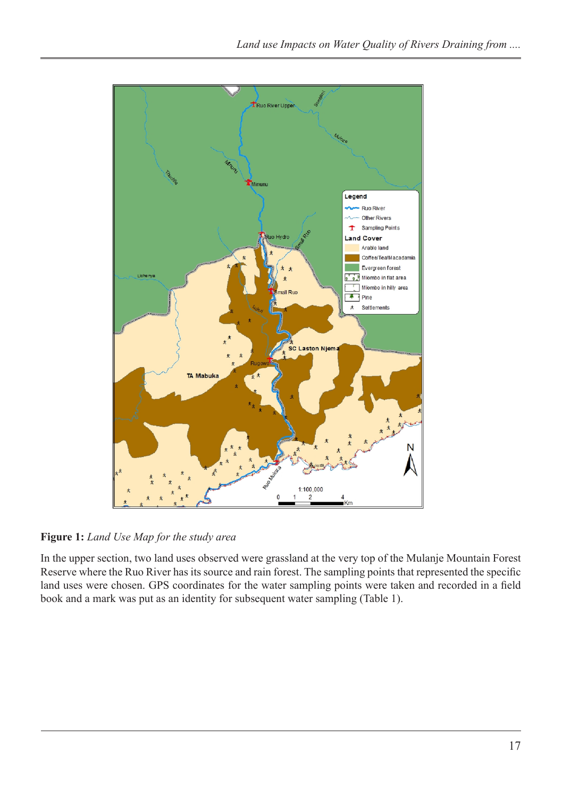

**Figure 1:** *Land Use Map for the study area*

In the upper section, two land uses observed were grassland at the very top of the Mulanje Mountain Forest Reserve where the Ruo River has its source and rain forest. The sampling points that represented the specific land uses were chosen. GPS coordinates for the water sampling points were taken and recorded in a field book and a mark was put as an identity for subsequent water sampling (Table 1).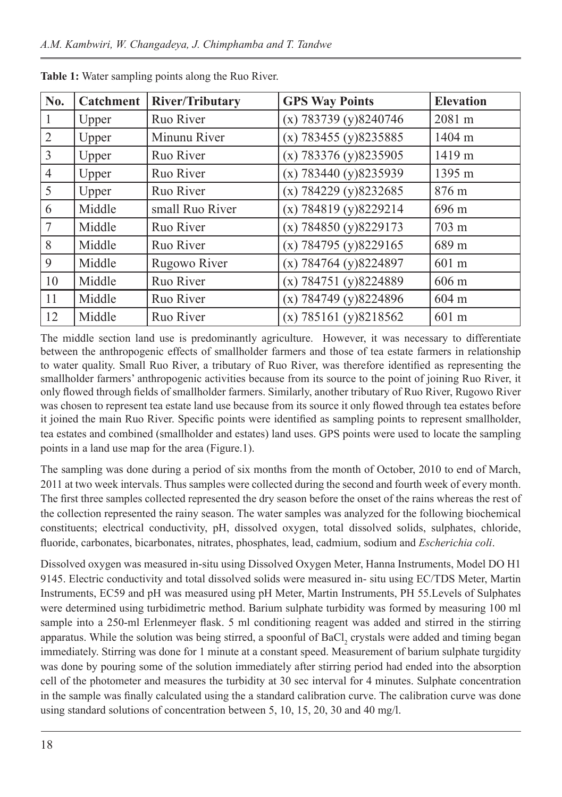| No.            | <b>Catchment</b> | <b>River/Tributary</b> | <b>GPS Way Points</b>   | <b>Elevation</b> |
|----------------|------------------|------------------------|-------------------------|------------------|
|                | Upper            | Ruo River              | $(x)$ 783739 (y)8240746 | 2081 m           |
| $\overline{2}$ | Upper            | Minunu River           | $(x)$ 783455 (y)8235885 | 1404 m           |
| $\overline{3}$ | Upper            | Ruo River              | $(x)$ 783376 (y)8235905 | 1419 m           |
| $\overline{4}$ | Upper            | Ruo River              | $(x)$ 783440 (y)8235939 | 1395 m           |
| 5              | Upper            | Ruo River              | $(x)$ 784229 (y)8232685 | 876 m            |
| 6              | Middle           | small Ruo River        | $(x)$ 784819 (y)8229214 | 696 m            |
| 7              | Middle           | Ruo River              | $(x)$ 784850 (y)8229173 | 703 m            |
| 8              | Middle           | Ruo River              | $(x)$ 784795 (y)8229165 | 689 m            |
| 9              | Middle           | Rugowo River           | $(x)$ 784764 (y)8224897 | 601 m            |
| 10             | Middle           | Ruo River              | $(x)$ 784751 (y)8224889 | 606 m            |
| 11             | Middle           | Ruo River              | $(x)$ 784749 (y)8224896 | 604 m            |
| 12             | Middle           | Ruo River              | $(x)$ 785161 (y)8218562 | 601 m            |

**Table 1:** Water sampling points along the Ruo River.

The middle section land use is predominantly agriculture. However, it was necessary to differentiate between the anthropogenic effects of smallholder farmers and those of tea estate farmers in relationship to water quality. Small Ruo River, a tributary of Ruo River, was therefore identified as representing the smallholder farmers' anthropogenic activities because from its source to the point of joining Ruo River, it only flowed through fields of smallholder farmers. Similarly, another tributary of Ruo River, Rugowo River was chosen to represent tea estate land use because from its source it only flowed through tea estates before it joined the main Ruo River. Specific points were identified as sampling points to represent smallholder, tea estates and combined (smallholder and estates) land uses. GPS points were used to locate the sampling points in a land use map for the area (Figure.1).

The sampling was done during a period of six months from the month of October, 2010 to end of March, 2011 at two week intervals. Thus samples were collected during the second and fourth week of every month. The first three samples collected represented the dry season before the onset of the rains whereas the rest of the collection represented the rainy season. The water samples was analyzed for the following biochemical constituents; electrical conductivity, pH, dissolved oxygen, total dissolved solids, sulphates, chloride, fluoride, carbonates, bicarbonates, nitrates, phosphates, lead, cadmium, sodium and *Escherichia coli*.

Dissolved oxygen was measured in-situ using Dissolved Oxygen Meter, Hanna Instruments, Model DO H1 9145. Electric conductivity and total dissolved solids were measured in- situ using EC/TDS Meter, Martin Instruments, EC59 and pH was measured using pH Meter, Martin Instruments, PH 55.Levels of Sulphates were determined using turbidimetric method. Barium sulphate turbidity was formed by measuring 100 ml sample into a 250-ml Erlenmeyer flask. 5 ml conditioning reagent was added and stirred in the stirring apparatus. While the solution was being stirred, a spoonful of BaCl<sub>2</sub> crystals were added and timing began immediately. Stirring was done for 1 minute at a constant speed. Measurement of barium sulphate turgidity was done by pouring some of the solution immediately after stirring period had ended into the absorption cell of the photometer and measures the turbidity at 30 sec interval for 4 minutes. Sulphate concentration in the sample was finally calculated using the a standard calibration curve. The calibration curve was done using standard solutions of concentration between 5, 10, 15, 20, 30 and 40 mg/l.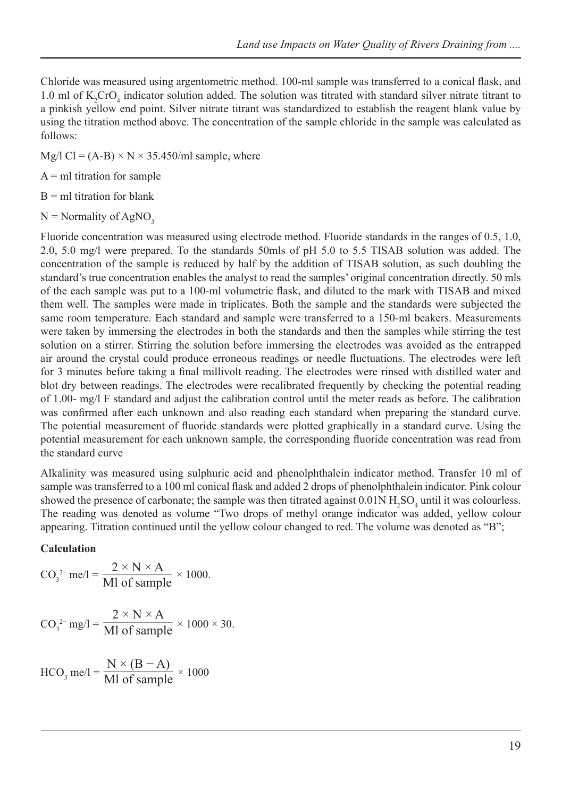Chloride was measured using argentometric method. 100-ml sample was transferred to a conical flask, and 1.0 ml of  $K_2$ CrO<sub>4</sub> indicator solution added. The solution was titrated with standard silver nitrate titrant to a pinkish yellow end point. Silver nitrate titrant was standardized to establish the reagent blank value by using the titration method above. The concentration of the sample chloride in the sample was calculated as follows:

Mg/l Cl =  $(A-B) \times N \times 35.450$ /ml sample, where

 $A = m1$  titration for sample

 $B = m1$  titration for blank

 $N =$  Normality of AgNO<sub>3</sub>

Fluoride concentration was measured using electrode method. Fluoride standards in the ranges of 0.5, 1.0, 2.0, 5.0 mg/l were prepared. To the standards 50mls of pH 5.0 to 5.5 TISAB solution was added. The concentration of the sample is reduced by half by the addition of TISAB solution, as such doubling the standard's true concentration enables the analyst to read the samples' original concentration directly. 50 mls of the each sample was put to a 100-ml volumetric flask, and diluted to the mark with TISAB and mixed them well. The samples were made in triplicates. Both the sample and the standards were subjected the same room temperature. Each standard and sample were transferred to a 150-ml beakers. Measurements were taken by immersing the electrodes in both the standards and then the samples while stirring the test solution on a stirrer. Stirring the solution before immersing the electrodes was avoided as the entrapped air around the crystal could produce erroneous readings or needle fluctuations. The electrodes were left for 3 minutes before taking a final millivolt reading. The electrodes were rinsed with distilled water and blot dry between readings. The electrodes were recalibrated frequently by checking the potential reading of 1.00- mg/l F standard and adjust the calibration control until the meter reads as before. The calibration was confirmed after each unknown and also reading each standard when preparing the standard curve. The potential measurement of fluoride standards were plotted graphically in a standard curve. Using the potential measurement for each unknown sample, the corresponding fluoride concentration was read from the standard curve

Alkalinity was measured using sulphuric acid and phenolphthalein indicator method. Transfer 10 ml of sample was transferred to a 100 ml conical flask and added 2 drops of phenolphthalein indicator. Pink colour showed the presence of carbonate; the sample was then titrated against  $0.01N H<sub>2</sub>SO<sub>4</sub>$  until it was colourless. The reading was denoted as volume "Two drops of methyl orange indicator was added, yellow colour appearing. Titration continued until the yellow colour changed to red. The volume was denoted as "B";

#### **Calculation**

$$
CO_3^{2-}
$$
me/l =  $\frac{2 \times N \times A}{M l}$  of sample  $\times$  1000.  

$$
CO_3^{2-}
$$
mg/l =  $\frac{2 \times N \times A}{M l}$  of sample  $\times$  1000  $\times$  30.

$$
HCO3 me/l = \frac{N \times (B - A)}{Ml \text{ of sample}} \times 1000
$$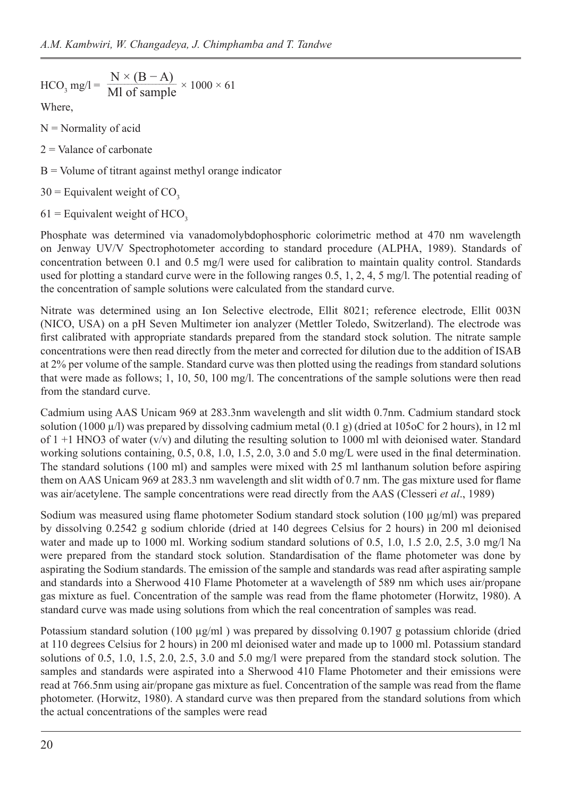$$
HCO3 mg/l = \frac{N \times (B - A)}{M l of sample} \times 1000 \times 61
$$

Where,

 $N =$  Normality of acid

- $2 =$ Valance of carbonate
- $B =$  Volume of titrant against methyl orange indicator
- $30$  = Equivalent weight of CO<sub>3</sub>
- $61$  = Equivalent weight of HCO<sub>3</sub>

Phosphate was determined via vanadomolybdophosphoric colorimetric method at 470 nm wavelength on Jenway UV/V Spectrophotometer according to standard procedure (ALPHA, 1989). Standards of concentration between 0.1 and 0.5 mg/l were used for calibration to maintain quality control. Standards used for plotting a standard curve were in the following ranges 0.5, 1, 2, 4, 5 mg/l. The potential reading of the concentration of sample solutions were calculated from the standard curve.

Nitrate was determined using an Ion Selective electrode, Ellit 8021; reference electrode, Ellit 003N (NICO, USA) on a pH Seven Multimeter ion analyzer (Mettler Toledo, Switzerland). The electrode was first calibrated with appropriate standards prepared from the standard stock solution. The nitrate sample concentrations were then read directly from the meter and corrected for dilution due to the addition of ISAB at 2% per volume of the sample. Standard curve was then plotted using the readings from standard solutions that were made as follows; 1, 10, 50, 100 mg/l. The concentrations of the sample solutions were then read from the standard curve.

Cadmium using AAS Unicam 969 at 283.3nm wavelength and slit width 0.7nm. Cadmium standard stock solution (1000  $\mu$ /l) was prepared by dissolving cadmium metal (0.1 g) (dried at 105oC for 2 hours), in 12 ml of  $1 + 1$  HNO3 of water (v/v) and diluting the resulting solution to 1000 ml with deionised water. Standard working solutions containing, 0.5, 0.8, 1.0, 1.5, 2.0, 3.0 and 5.0 mg/L were used in the final determination. The standard solutions (100 ml) and samples were mixed with 25 ml lanthanum solution before aspiring them on AAS Unicam 969 at 283.3 nm wavelength and slit width of 0.7 nm. The gas mixture used for flame was air/acetylene. The sample concentrations were read directly from the AAS (Clesseri *et al*., 1989)

Sodium was measured using flame photometer Sodium standard stock solution  $(100 \mu g/ml)$  was prepared by dissolving 0.2542 g sodium chloride (dried at 140 degrees Celsius for 2 hours) in 200 ml deionised water and made up to 1000 ml. Working sodium standard solutions of 0.5, 1.0, 1.5 2.0, 2.5, 3.0 mg/l Na were prepared from the standard stock solution. Standardisation of the flame photometer was done by aspirating the Sodium standards. The emission of the sample and standards was read after aspirating sample and standards into a Sherwood 410 Flame Photometer at a wavelength of 589 nm which uses air/propane gas mixture as fuel. Concentration of the sample was read from the flame photometer (Horwitz, 1980). A standard curve was made using solutions from which the real concentration of samples was read.

Potassium standard solution (100  $\mu$ g/ml) was prepared by dissolving 0.1907 g potassium chloride (dried at 110 degrees Celsius for 2 hours) in 200 ml deionised water and made up to 1000 ml. Potassium standard solutions of 0.5, 1.0, 1.5, 2.0, 2.5, 3.0 and 5.0 mg/l were prepared from the standard stock solution. The samples and standards were aspirated into a Sherwood 410 Flame Photometer and their emissions were read at 766.5nm using air/propane gas mixture as fuel. Concentration of the sample was read from the flame photometer. (Horwitz, 1980). A standard curve was then prepared from the standard solutions from which the actual concentrations of the samples were read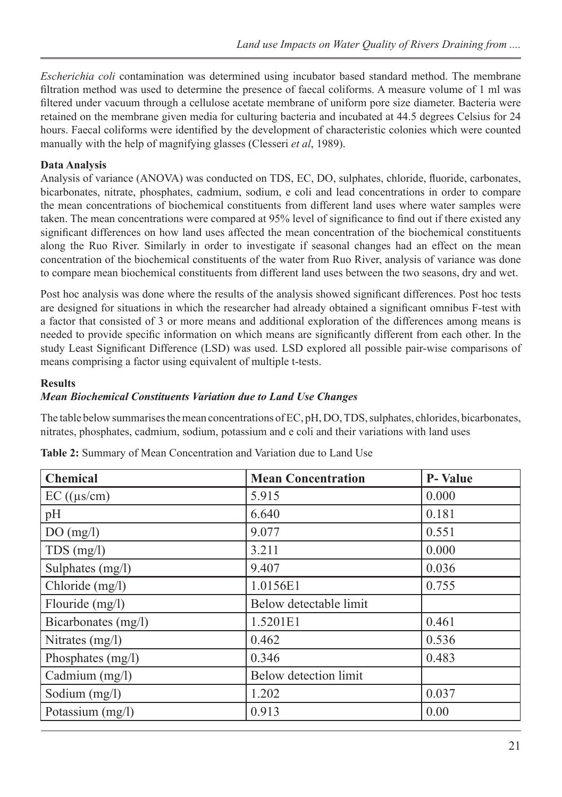*Escherichia coli* contamination was determined using incubator based standard method. The membrane filtration method was used to determine the presence of faecal coliforms. A measure volume of 1 ml was filtered under vacuum through a cellulose acetate membrane of uniform pore size diameter. Bacteria were retained on the membrane given media for culturing bacteria and incubated at 44.5 degrees Celsius for 24 hours. Faecal coliforms were identified by the development of characteristic colonies which were counted manually with the help of magnifying glasses (Clesseri *et al*, 1989).

## **Data Analysis**

Analysis of variance (ANOVA) was conducted on TDS, EC, DO, sulphates, chloride, fluoride, carbonates, bicarbonates, nitrate, phosphates, cadmium, sodium, e coli and lead concentrations in order to compare the mean concentrations of biochemical constituents from different land uses where water samples were taken. The mean concentrations were compared at 95% level of significance to find out if there existed any significant differences on how land uses affected the mean concentration of the biochemical constituents along the Ruo River. Similarly in order to investigate if seasonal changes had an effect on the mean concentration of the biochemical constituents of the water from Ruo River, analysis of variance was done to compare mean biochemical constituents from different land uses between the two seasons, dry and wet.

Post hoc analysis was done where the results of the analysis showed significant differences. Post hoc tests are designed for situations in which the researcher had already obtained a significant omnibus F-test with a factor that consisted of 3 or more means and additional exploration of the differences among means is needed to provide specific information on which means are significantly different from each other. In the study Least Significant Difference (LSD) was used. LSD explored all possible pair-wise comparisons of means comprising a factor using equivalent of multiple t-tests.

#### **Results**

## *Mean Biochemical Constituents Variation due to Land Use Changes*

The table below summarises the mean concentrations of EC, pH, DO, TDS, sulphates, chlorides, bicarbonates, nitrates, phosphates, cadmium, sodium, potassium and e coli and their variations with land uses

| <b>Chemical</b>      | <b>Mean Concentration</b>    | <b>P-Value</b> |
|----------------------|------------------------------|----------------|
| $EC$ (( $\mu s/cm$ ) | 5.915                        | 0.000          |
| pH                   | 6.640                        | 0.181          |
| DO(mg/l)             | 9.077                        | 0.551          |
| $TDS$ (mg/l)         | 3.211                        | 0.000          |
| Sulphates (mg/l)     | 9.407                        | 0.036          |
| Chloride (mg/l)      | 1.0156E1                     | 0.755          |
| Flouride $(mg/l)$    | Below detectable limit       |                |
| Bicarbonates (mg/l)  | 1.5201E1                     | 0.461          |
| Nitrates (mg/l)      | 0.462                        | 0.536          |
| Phosphates (mg/l)    | 0.346                        | 0.483          |
| Cadmium (mg/l)       | <b>Below detection limit</b> |                |
| Sodium (mg/l)        | 1.202                        | 0.037          |
| Potassium (mg/l)     | 0.913                        | 0.00           |

**Table 2:** Summary of Mean Concentration and Variation due to Land Use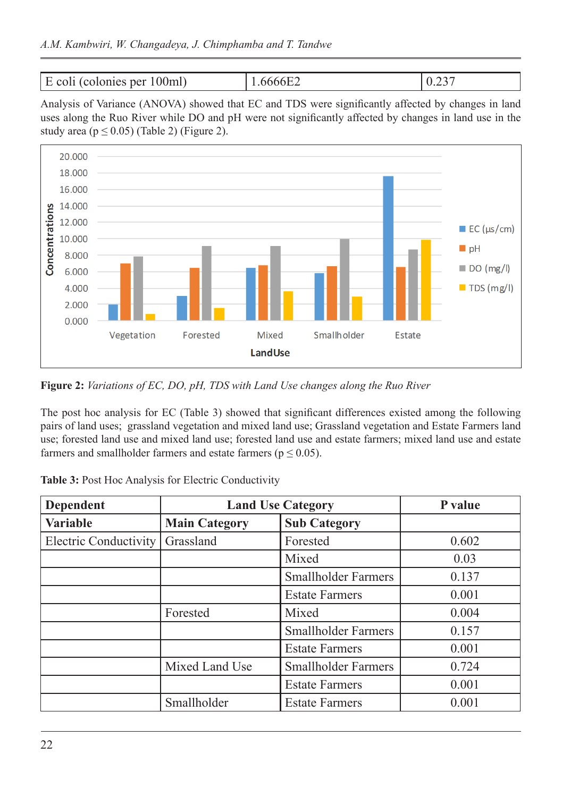```
E coli (colonies per 100ml) 1.6666E2 0.237
```
Analysis of Variance (ANOVA) showed that EC and TDS were significantly affected by changes in land uses along the Ruo River while DO and pH were not significantly affected by changes in land use in the study area ( $p \le 0.05$ ) (Table 2) (Figure 2).



**Figure 2:** *Variations of EC, DO, pH, TDS with Land Use changes along the Ruo River*

The post hoc analysis for EC (Table 3) showed that significant differences existed among the following pairs of land uses; grassland vegetation and mixed land use; Grassland vegetation and Estate Farmers land use; forested land use and mixed land use; forested land use and estate farmers; mixed land use and estate farmers and smallholder farmers and estate farmers ( $p \le 0.05$ ).

| Dependent                    | <b>Land Use Category</b> |                            | P value |
|------------------------------|--------------------------|----------------------------|---------|
| <b>Variable</b>              | <b>Main Category</b>     | <b>Sub Category</b>        |         |
| <b>Electric Conductivity</b> | Grassland                | Forested                   | 0.602   |
|                              |                          | Mixed                      | 0.03    |
|                              |                          | <b>Smallholder Farmers</b> | 0.137   |
|                              |                          | <b>Estate Farmers</b>      | 0.001   |
|                              | Forested                 | Mixed                      | 0.004   |
|                              |                          | <b>Smallholder Farmers</b> | 0.157   |
|                              |                          | <b>Estate Farmers</b>      | 0.001   |
|                              | Mixed Land Use           | <b>Smallholder Farmers</b> | 0.724   |
|                              |                          | <b>Estate Farmers</b>      | 0.001   |
|                              | Smallholder              | <b>Estate Farmers</b>      | 0.001   |

|  |  | Table 3: Post Hoc Analysis for Electric Conductivity |
|--|--|------------------------------------------------------|
|  |  |                                                      |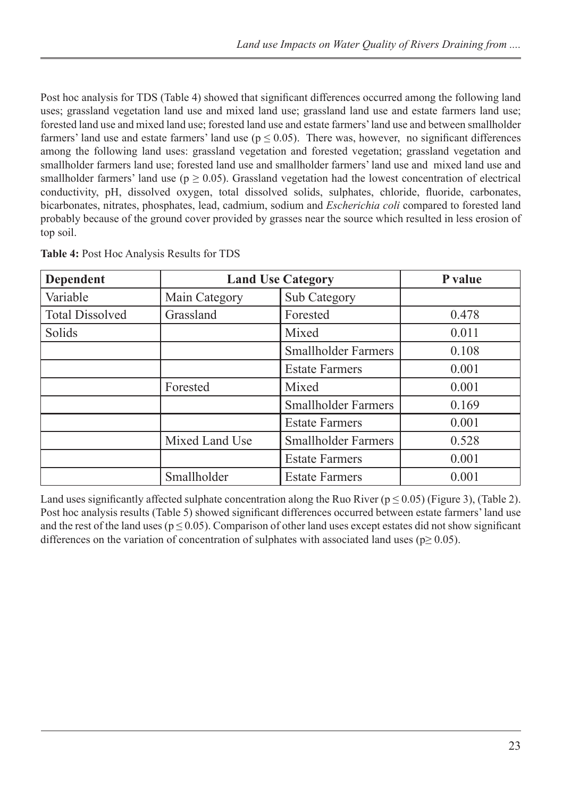Post hoc analysis for TDS (Table 4) showed that significant differences occurred among the following land uses; grassland vegetation land use and mixed land use; grassland land use and estate farmers land use; forested land use and mixed land use; forested land use and estate farmers' land use and between smallholder farmers' land use and estate farmers' land use ( $p \le 0.05$ ). There was, however, no significant differences among the following land uses: grassland vegetation and forested vegetation; grassland vegetation and smallholder farmers land use; forested land use and smallholder farmers' land use and mixed land use and smallholder farmers' land use ( $p \ge 0.05$ ). Grassland vegetation had the lowest concentration of electrical conductivity, pH, dissolved oxygen, total dissolved solids, sulphates, chloride, fluoride, carbonates, bicarbonates, nitrates, phosphates, lead, cadmium, sodium and *Escherichia coli* compared to forested land probably because of the ground cover provided by grasses near the source which resulted in less erosion of top soil.

| <b>Dependent</b>       | <b>Land Use Category</b> | P value                    |       |
|------------------------|--------------------------|----------------------------|-------|
| Variable               | Main Category            | Sub Category               |       |
| <b>Total Dissolved</b> | Grassland                | Forested                   | 0.478 |
| Solids                 |                          | Mixed                      | 0.011 |
|                        |                          | <b>Smallholder Farmers</b> | 0.108 |
|                        |                          | <b>Estate Farmers</b>      | 0.001 |
|                        | Forested                 | Mixed                      | 0.001 |
|                        |                          | <b>Smallholder Farmers</b> | 0.169 |
|                        |                          | <b>Estate Farmers</b>      | 0.001 |
|                        | Mixed Land Use           | <b>Smallholder Farmers</b> | 0.528 |
|                        |                          | <b>Estate Farmers</b>      | 0.001 |
|                        | Smallholder              | <b>Estate Farmers</b>      | 0.001 |

**Table 4:** Post Hoc Analysis Results for TDS

Land uses significantly affected sulphate concentration along the Ruo River ( $p \le 0.05$ ) (Figure 3), (Table 2). Post hoc analysis results (Table 5) showed significant differences occurred between estate farmers' land use and the rest of the land uses ( $p \le 0.05$ ). Comparison of other land uses except estates did not show significant differences on the variation of concentration of sulphates with associated land uses ( $p \ge 0.05$ ).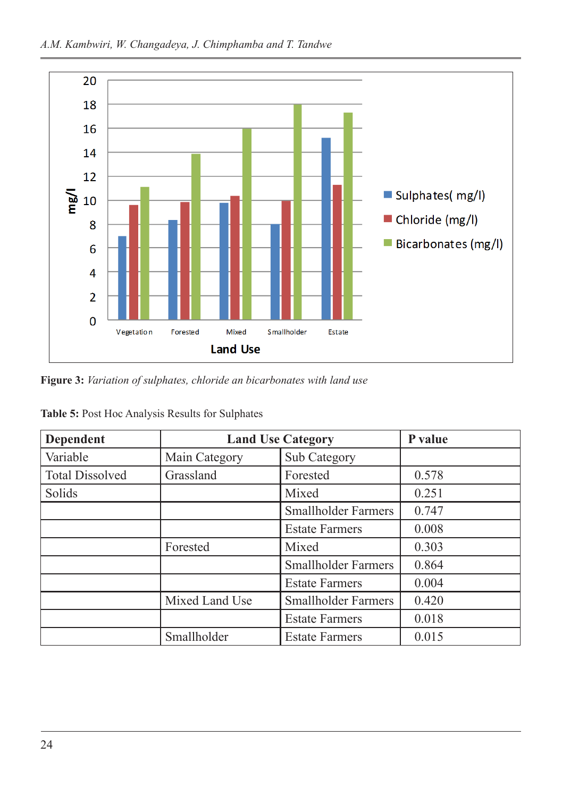

**Figure 3:** *Variation of sulphates, chloride an bicarbonates with land use* 

| <b>Dependent</b>       | <b>Land Use Category</b>             | P value                    |       |
|------------------------|--------------------------------------|----------------------------|-------|
| Variable               | Main Category                        | Sub Category               |       |
| <b>Total Dissolved</b> | Grassland                            | Forested                   | 0.578 |
| Solids                 |                                      | Mixed                      | 0.251 |
|                        |                                      | <b>Smallholder Farmers</b> | 0.747 |
|                        |                                      | <b>Estate Farmers</b>      | 0.008 |
|                        | Forested                             | Mixed                      | 0.303 |
|                        |                                      | <b>Smallholder Farmers</b> |       |
|                        |                                      | <b>Estate Farmers</b>      | 0.004 |
|                        | Mixed Land Use                       | <b>Smallholder Farmers</b> | 0.420 |
|                        | <b>Estate Farmers</b>                |                            | 0.018 |
|                        | Smallholder<br><b>Estate Farmers</b> |                            | 0.015 |

|  |  |  |  |  |  | Table 5: Post Hoc Analysis Results for Sulphates |
|--|--|--|--|--|--|--------------------------------------------------|
|--|--|--|--|--|--|--------------------------------------------------|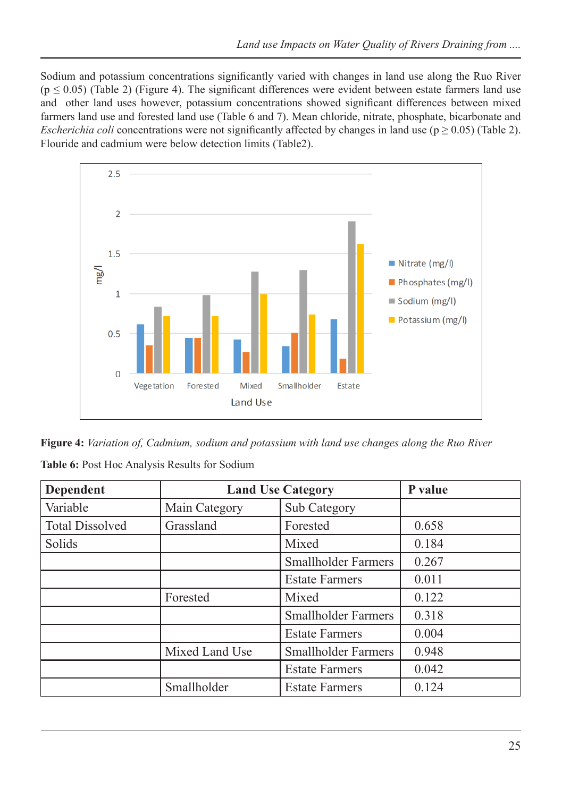Sodium and potassium concentrations significantly varied with changes in land use along the Ruo River  $(p \le 0.05)$  (Table 2) (Figure 4). The significant differences were evident between estate farmers land use and other land uses however, potassium concentrations showed significant differences between mixed farmers land use and forested land use (Table 6 and 7). Mean chloride, nitrate, phosphate, bicarbonate and *Escherichia coli* concentrations were not significantly affected by changes in land use ( $p \ge 0.05$ ) (Table 2). Flouride and cadmium were below detection limits (Table2).



**Figure 4:** *Variation of, Cadmium, sodium and potassium with land use changes along the Ruo River*

| <b>Dependent</b>       | <b>Land Use Category</b> | P value                    |       |
|------------------------|--------------------------|----------------------------|-------|
| Variable               | Main Category            | Sub Category               |       |
| <b>Total Dissolved</b> | Grassland                | Forested                   | 0.658 |
| Solids                 |                          | Mixed                      | 0.184 |
|                        |                          | <b>Smallholder Farmers</b> | 0.267 |
|                        |                          | <b>Estate Farmers</b>      | 0.011 |
|                        | Forested                 | Mixed                      | 0.122 |
|                        |                          | <b>Smallholder Farmers</b> | 0.318 |
|                        |                          | <b>Estate Farmers</b>      | 0.004 |
|                        | Mixed Land Use           | <b>Smallholder Farmers</b> | 0.948 |
|                        |                          | <b>Estate Farmers</b>      | 0.042 |
|                        | Smallholder              | <b>Estate Farmers</b>      | 0.124 |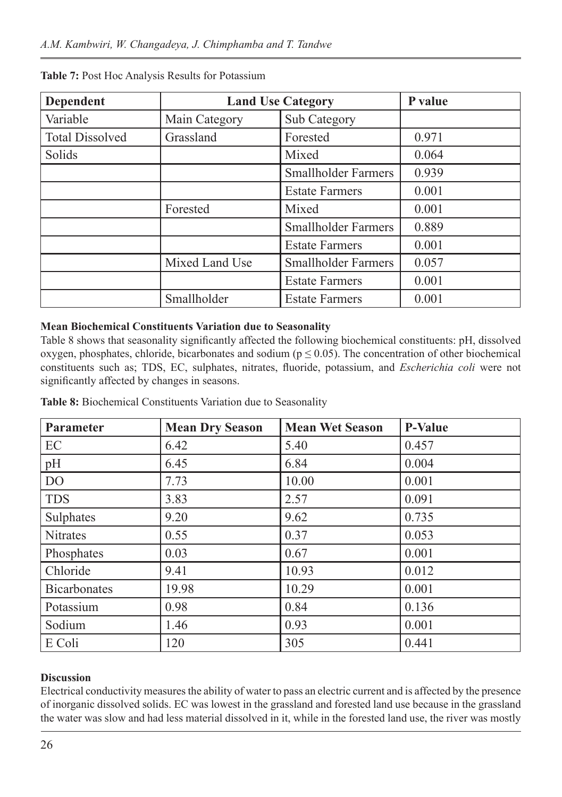| Dependent              | <b>Land Use Category</b> | P value                    |       |
|------------------------|--------------------------|----------------------------|-------|
| Variable               | Main Category            | Sub Category               |       |
| <b>Total Dissolved</b> | Grassland                | Forested                   | 0.971 |
| Solids                 |                          | Mixed                      | 0.064 |
|                        |                          | <b>Smallholder Farmers</b> | 0.939 |
|                        |                          | <b>Estate Farmers</b>      | 0.001 |
|                        | Forested                 | Mixed                      | 0.001 |
|                        |                          | <b>Smallholder Farmers</b> | 0.889 |
|                        |                          | <b>Estate Farmers</b>      | 0.001 |
|                        | Mixed Land Use           | <b>Smallholder Farmers</b> | 0.057 |
|                        |                          | <b>Estate Farmers</b>      | 0.001 |
|                        | Smallholder              | <b>Estate Farmers</b>      | 0.001 |

#### **Table 7:** Post Hoc Analysis Results for Potassium

### **Mean Biochemical Constituents Variation due to Seasonality**

Table 8 shows that seasonality significantly affected the following biochemical constituents: pH, dissolved oxygen, phosphates, chloride, bicarbonates and sodium ( $p \le 0.05$ ). The concentration of other biochemical constituents such as; TDS, EC, sulphates, nitrates, fluoride, potassium, and *Escherichia coli* were not significantly affected by changes in seasons.

| Parameter           | <b>Mean Dry Season</b> | <b>Mean Wet Season</b> | <b>P-Value</b> |
|---------------------|------------------------|------------------------|----------------|
| EC                  | 6.42                   | 5.40                   | 0.457          |
| pH                  | 6.45                   | 6.84                   | 0.004          |
| D <sub>O</sub>      | 7.73                   | 10.00                  | 0.001          |
| <b>TDS</b>          | 3.83                   | 2.57                   | 0.091          |
| Sulphates           | 9.20                   | 9.62                   | 0.735          |
| <b>Nitrates</b>     | 0.55                   | 0.37                   | 0.053          |
| Phosphates          | 0.03                   | 0.67                   | 0.001          |
| Chloride            | 9.41                   | 10.93                  | 0.012          |
| <b>Bicarbonates</b> | 19.98                  | 10.29                  | 0.001          |
| Potassium           | 0.98                   | 0.84                   | 0.136          |
| Sodium              | 1.46                   | 0.93                   | 0.001          |
| E Coli              | 120                    | 305                    | 0.441          |

## **Discussion**

Electrical conductivity measures the ability of water to pass an electric current and is affected by the presence of inorganic dissolved solids. EC was lowest in the grassland and forested land use because in the grassland the water was slow and had less material dissolved in it, while in the forested land use, the river was mostly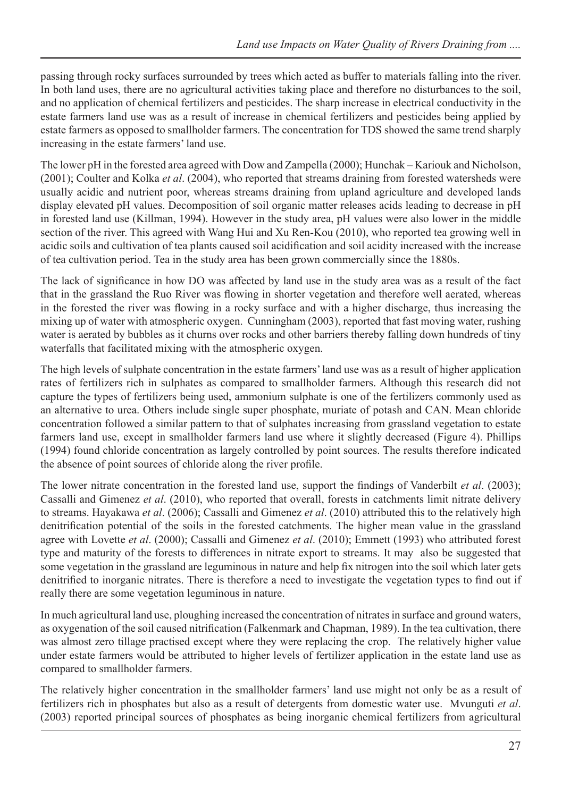passing through rocky surfaces surrounded by trees which acted as buffer to materials falling into the river. In both land uses, there are no agricultural activities taking place and therefore no disturbances to the soil, and no application of chemical fertilizers and pesticides. The sharp increase in electrical conductivity in the estate farmers land use was as a result of increase in chemical fertilizers and pesticides being applied by estate farmers as opposed to smallholder farmers. The concentration for TDS showed the same trend sharply increasing in the estate farmers' land use.

The lower pH in the forested area agreed with Dow and Zampella (2000); Hunchak – Kariouk and Nicholson, (2001); Coulter and Kolka *et al*. (2004), who reported that streams draining from forested watersheds were usually acidic and nutrient poor, whereas streams draining from upland agriculture and developed lands display elevated pH values. Decomposition of soil organic matter releases acids leading to decrease in pH in forested land use (Killman, 1994). However in the study area, pH values were also lower in the middle section of the river. This agreed with Wang Hui and Xu Ren-Kou (2010), who reported tea growing well in acidic soils and cultivation of tea plants caused soil acidification and soil acidity increased with the increase of tea cultivation period. Tea in the study area has been grown commercially since the 1880s.

The lack of significance in how DO was affected by land use in the study area was as a result of the fact that in the grassland the Ruo River was flowing in shorter vegetation and therefore well aerated, whereas in the forested the river was flowing in a rocky surface and with a higher discharge, thus increasing the mixing up of water with atmospheric oxygen. Cunningham (2003), reported that fast moving water, rushing water is aerated by bubbles as it churns over rocks and other barriers thereby falling down hundreds of tiny waterfalls that facilitated mixing with the atmospheric oxygen.

The high levels of sulphate concentration in the estate farmers' land use was as a result of higher application rates of fertilizers rich in sulphates as compared to smallholder farmers. Although this research did not capture the types of fertilizers being used, ammonium sulphate is one of the fertilizers commonly used as an alternative to urea. Others include single super phosphate, muriate of potash and CAN. Mean chloride concentration followed a similar pattern to that of sulphates increasing from grassland vegetation to estate farmers land use, except in smallholder farmers land use where it slightly decreased (Figure 4). Phillips (1994) found chloride concentration as largely controlled by point sources. The results therefore indicated the absence of point sources of chloride along the river profile.

The lower nitrate concentration in the forested land use, support the findings of Vanderbilt *et al*. (2003); Cassalli and Gimenez *et al*. (2010), who reported that overall, forests in catchments limit nitrate delivery to streams. Hayakawa *et al*. (2006); Cassalli and Gimenez *et al*. (2010) attributed this to the relatively high denitrification potential of the soils in the forested catchments. The higher mean value in the grassland agree with Lovette *et al*. (2000); Cassalli and Gimenez *et al*. (2010); Emmett (1993) who attributed forest type and maturity of the forests to differences in nitrate export to streams. It may also be suggested that some vegetation in the grassland are leguminous in nature and help fix nitrogen into the soil which later gets denitrified to inorganic nitrates. There is therefore a need to investigate the vegetation types to find out if really there are some vegetation leguminous in nature.

In much agricultural land use, ploughing increased the concentration of nitrates in surface and ground waters, as oxygenation of the soil caused nitrification (Falkenmark and Chapman, 1989). In the tea cultivation, there was almost zero tillage practised except where they were replacing the crop. The relatively higher value under estate farmers would be attributed to higher levels of fertilizer application in the estate land use as compared to smallholder farmers.

The relatively higher concentration in the smallholder farmers' land use might not only be as a result of fertilizers rich in phosphates but also as a result of detergents from domestic water use. Mvunguti *et al*. (2003) reported principal sources of phosphates as being inorganic chemical fertilizers from agricultural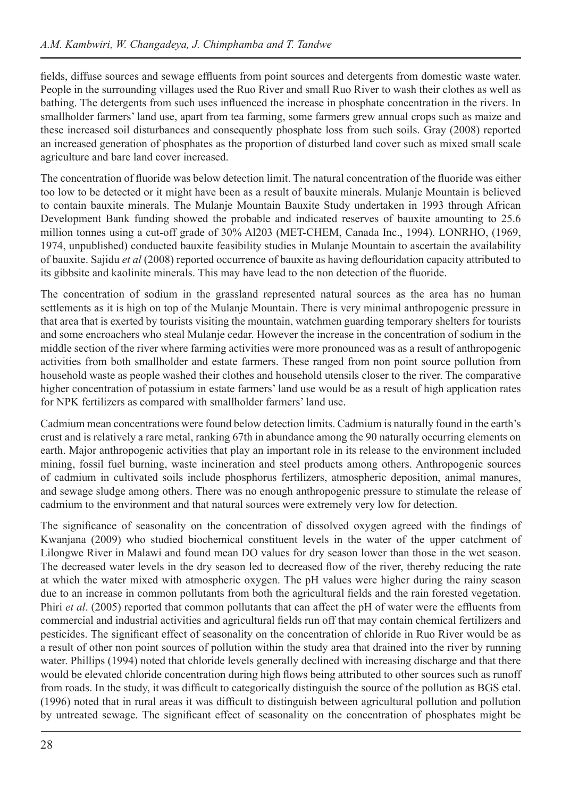fields, diffuse sources and sewage effluents from point sources and detergents from domestic waste water. People in the surrounding villages used the Ruo River and small Ruo River to wash their clothes as well as bathing. The detergents from such uses influenced the increase in phosphate concentration in the rivers. In smallholder farmers' land use, apart from tea farming, some farmers grew annual crops such as maize and these increased soil disturbances and consequently phosphate loss from such soils. Gray (2008) reported an increased generation of phosphates as the proportion of disturbed land cover such as mixed small scale agriculture and bare land cover increased.

The concentration of fluoride was below detection limit. The natural concentration of the fluoride was either too low to be detected or it might have been as a result of bauxite minerals. Mulanje Mountain is believed to contain bauxite minerals. The Mulanje Mountain Bauxite Study undertaken in 1993 through African Development Bank funding showed the probable and indicated reserves of bauxite amounting to 25.6 million tonnes using a cut-off grade of 30% Al203 (MET-CHEM, Canada Inc., 1994). LONRHO, (1969, 1974, unpublished) conducted bauxite feasibility studies in Mulanje Mountain to ascertain the availability of bauxite. Sajidu *et al* (2008) reported occurrence of bauxite as having deflouridation capacity attributed to its gibbsite and kaolinite minerals. This may have lead to the non detection of the fluoride.

The concentration of sodium in the grassland represented natural sources as the area has no human settlements as it is high on top of the Mulanje Mountain. There is very minimal anthropogenic pressure in that area that is exerted by tourists visiting the mountain, watchmen guarding temporary shelters for tourists and some encroachers who steal Mulanje cedar. However the increase in the concentration of sodium in the middle section of the river where farming activities were more pronounced was as a result of anthropogenic activities from both smallholder and estate farmers. These ranged from non point source pollution from household waste as people washed their clothes and household utensils closer to the river. The comparative higher concentration of potassium in estate farmers' land use would be as a result of high application rates for NPK fertilizers as compared with smallholder farmers' land use.

Cadmium mean concentrations were found below detection limits. Cadmium is naturally found in the earth's crust and is relatively a rare metal, ranking 67th in abundance among the 90 naturally occurring elements on earth. Major anthropogenic activities that play an important role in its release to the environment included mining, fossil fuel burning, waste incineration and steel products among others. Anthropogenic sources of cadmium in cultivated soils include phosphorus fertilizers, atmospheric deposition, animal manures, and sewage sludge among others. There was no enough anthropogenic pressure to stimulate the release of cadmium to the environment and that natural sources were extremely very low for detection.

The significance of seasonality on the concentration of dissolved oxygen agreed with the findings of Kwanjana (2009) who studied biochemical constituent levels in the water of the upper catchment of Lilongwe River in Malawi and found mean DO values for dry season lower than those in the wet season. The decreased water levels in the dry season led to decreased flow of the river, thereby reducing the rate at which the water mixed with atmospheric oxygen. The pH values were higher during the rainy season due to an increase in common pollutants from both the agricultural fields and the rain forested vegetation. Phiri *et al*. (2005) reported that common pollutants that can affect the pH of water were the effluents from commercial and industrial activities and agricultural fields run off that may contain chemical fertilizers and pesticides. The significant effect of seasonality on the concentration of chloride in Ruo River would be as a result of other non point sources of pollution within the study area that drained into the river by running water. Phillips (1994) noted that chloride levels generally declined with increasing discharge and that there would be elevated chloride concentration during high flows being attributed to other sources such as runoff from roads. In the study, it was difficult to categorically distinguish the source of the pollution as BGS etal. (1996) noted that in rural areas it was difficult to distinguish between agricultural pollution and pollution by untreated sewage. The significant effect of seasonality on the concentration of phosphates might be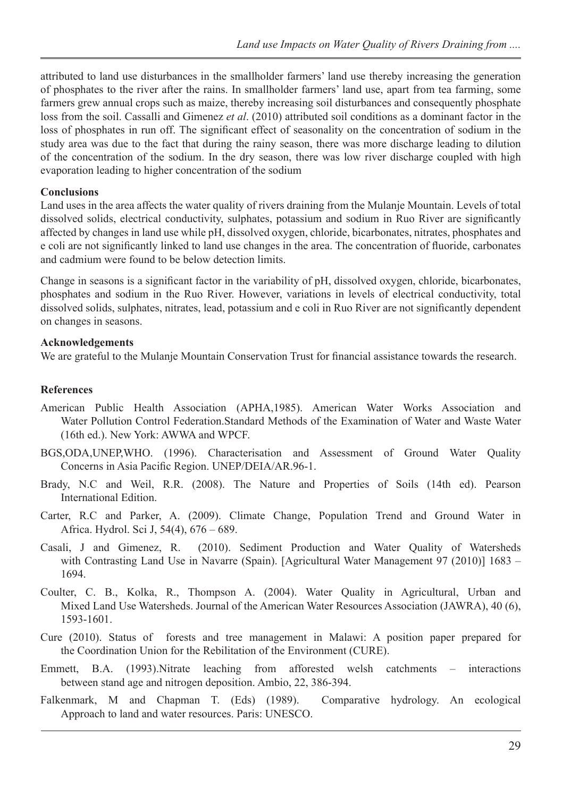attributed to land use disturbances in the smallholder farmers' land use thereby increasing the generation of phosphates to the river after the rains. In smallholder farmers' land use, apart from tea farming, some farmers grew annual crops such as maize, thereby increasing soil disturbances and consequently phosphate loss from the soil. Cassalli and Gimenez *et al*. (2010) attributed soil conditions as a dominant factor in the loss of phosphates in run off. The significant effect of seasonality on the concentration of sodium in the study area was due to the fact that during the rainy season, there was more discharge leading to dilution of the concentration of the sodium. In the dry season, there was low river discharge coupled with high evaporation leading to higher concentration of the sodium

#### **Conclusions**

Land uses in the area affects the water quality of rivers draining from the Mulanje Mountain. Levels of total dissolved solids, electrical conductivity, sulphates, potassium and sodium in Ruo River are significantly affected by changes in land use while pH, dissolved oxygen, chloride, bicarbonates, nitrates, phosphates and e coli are not significantly linked to land use changes in the area. The concentration of fluoride, carbonates and cadmium were found to be below detection limits.

Change in seasons is a significant factor in the variability of pH, dissolved oxygen, chloride, bicarbonates, phosphates and sodium in the Ruo River. However, variations in levels of electrical conductivity, total dissolved solids, sulphates, nitrates, lead, potassium and e coli in Ruo River are not significantly dependent on changes in seasons.

### **Acknowledgements**

We are grateful to the Mulanje Mountain Conservation Trust for financial assistance towards the research.

### **References**

- American Public Health Association (APHA,1985). American Water Works Association and Water Pollution Control Federation.Standard Methods of the Examination of Water and Waste Water (16th ed.). New York: AWWA and WPCF.
- BGS,ODA,UNEP,WHO. (1996). Characterisation and Assessment of Ground Water Quality Concerns in Asia Pacific Region. UNEP/DEIA/AR.96-1.
- Brady, N.C and Weil, R.R. (2008). The Nature and Properties of Soils (14th ed). Pearson International Edition.
- Carter, R.C and Parker, A. (2009). Climate Change, Population Trend and Ground Water in Africa. Hydrol. Sci J, 54(4), 676 – 689.
- Casali, J and Gimenez, R. (2010). Sediment Production and Water Quality of Watersheds with Contrasting Land Use in Navarre (Spain). [Agricultural Water Management 97 (2010)] 1683 – 1694.
- Coulter, C. B., Kolka, R., Thompson A. (2004). Water Quality in Agricultural, Urban and Mixed Land Use Watersheds. Journal of the American Water Resources Association (JAWRA), 40 (6), 1593-1601.
- Cure (2010). Status of forests and tree management in Malawi: A position paper prepared for the Coordination Union for the Rebilitation of the Environment (CURE).
- Emmett, B.A. (1993).Nitrate leaching from afforested welsh catchments interactions between stand age and nitrogen deposition. Ambio, 22, 386-394.
- Falkenmark, M and Chapman T. (Eds) (1989). Comparative hydrology. An ecological Approach to land and water resources. Paris: UNESCO.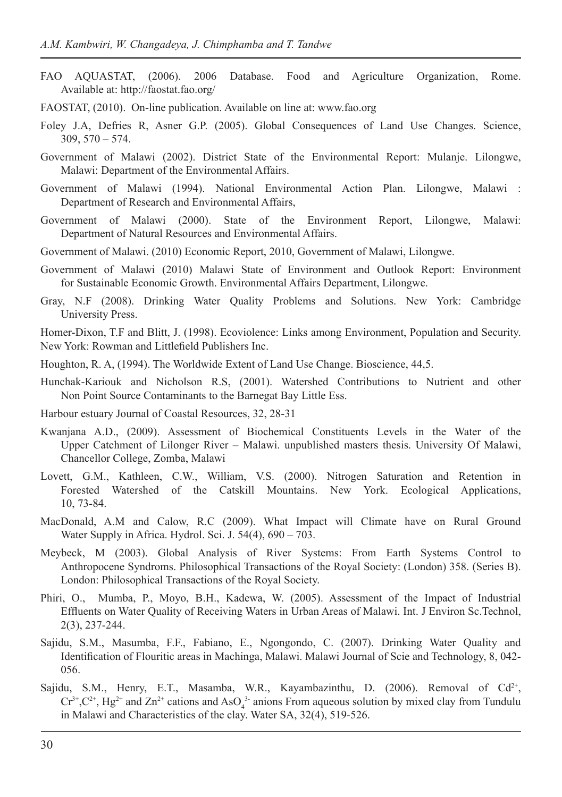- FAO AQUASTAT, (2006). 2006 Database. Food and Agriculture Organization, Rome. Available at: http://faostat.fao.org/
- FAOSTAT, (2010). On-line publication. Available on line at: www.fao.org
- Foley J.A, Defries R, Asner G.P. (2005). Global Consequences of Land Use Changes. Science, 309, 570 – 574.
- Government of Malawi (2002). District State of the Environmental Report: Mulanje. Lilongwe, Malawi: Department of the Environmental Affairs.
- Government of Malawi (1994). National Environmental Action Plan. Lilongwe, Malawi : Department of Research and Environmental Affairs,
- Government of Malawi (2000). State of the Environment Report, Lilongwe, Malawi: Department of Natural Resources and Environmental Affairs.
- Government of Malawi. (2010) Economic Report, 2010, Government of Malawi, Lilongwe.
- Government of Malawi (2010) Malawi State of Environment and Outlook Report: Environment for Sustainable Economic Growth. Environmental Affairs Department, Lilongwe.
- Gray, N.F (2008). Drinking Water Quality Problems and Solutions. New York: Cambridge University Press.

Homer-Dixon, T.F and Blitt, J. (1998). Ecoviolence: Links among Environment, Population and Security. New York: Rowman and Littlefield Publishers Inc.

- Houghton, R. A, (1994). The Worldwide Extent of Land Use Change. Bioscience, 44,5.
- Hunchak-Kariouk and Nicholson R.S, (2001). Watershed Contributions to Nutrient and other Non Point Source Contaminants to the Barnegat Bay Little Ess.
- Harbour estuary Journal of Coastal Resources, 32, 28-31
- Kwanjana A.D., (2009). Assessment of Biochemical Constituents Levels in the Water of the Upper Catchment of Lilonger River – Malawi. unpublished masters thesis. University Of Malawi, Chancellor College, Zomba, Malawi
- Lovett, G.M., Kathleen, C.W., William, V.S. (2000). Nitrogen Saturation and Retention in Forested Watershed of the Catskill Mountains. New York. Ecological Applications, 10, 73-84.
- MacDonald, A.M and Calow, R.C (2009). What Impact will Climate have on Rural Ground Water Supply in Africa. Hydrol. Sci. J. 54(4), 690 – 703.
- Meybeck, M (2003). Global Analysis of River Systems: From Earth Systems Control to Anthropocene Syndroms. Philosophical Transactions of the Royal Society: (London) 358. (Series B). London: Philosophical Transactions of the Royal Society.
- Phiri, O., Mumba, P., Moyo, B.H., Kadewa, W. (2005). Assessment of the Impact of Industrial Effluents on Water Quality of Receiving Waters in Urban Areas of Malawi. Int. J Environ Sc.Technol, 2(3), 237-244.
- Sajidu, S.M., Masumba, F.F., Fabiano, E., Ngongondo, C. (2007). Drinking Water Quality and Identification of Flouritic areas in Machinga, Malawi. Malawi Journal of Scie and Technology, 8, 042- 056.
- Sajidu, S.M., Henry, E.T., Masamba, W.R., Kayambazinthu, D. (2006). Removal of  $Cd^{2+}$ ,  $Cr^{3+}$ ,  $C^{2+}$ , Hg<sup>2+</sup> and  $Zn^{2+}$  cations and AsO<sub>4</sub><sup>3</sup> anions From aqueous solution by mixed clay from Tundulu in Malawi and Characteristics of the clay. Water SA, 32(4), 519-526.